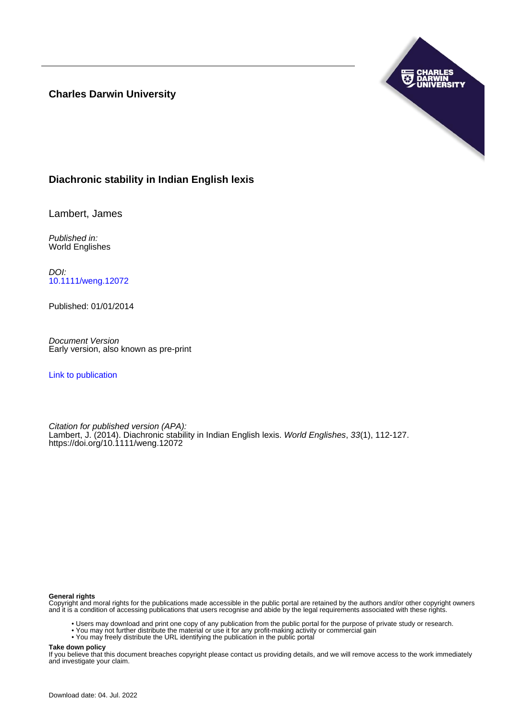### **Charles Darwin University**



#### **Diachronic stability in Indian English lexis**

Lambert, James

Published in: World Englishes

DOI: [10.1111/weng.12072](https://doi.org/10.1111/weng.12072)

Published: 01/01/2014

Document Version Early version, also known as pre-print

[Link to publication](https://researchers.cdu.edu.au/en/publications/1ea484c4-16ce-4401-a88d-8a80f4cbac11)

Citation for published version (APA): Lambert, J. (2014). Diachronic stability in Indian English lexis. World Englishes, 33(1), 112-127. <https://doi.org/10.1111/weng.12072>

#### **General rights**

Copyright and moral rights for the publications made accessible in the public portal are retained by the authors and/or other copyright owners and it is a condition of accessing publications that users recognise and abide by the legal requirements associated with these rights.

- Users may download and print one copy of any publication from the public portal for the purpose of private study or research.
- You may not further distribute the material or use it for any profit-making activity or commercial gain
- You may freely distribute the URL identifying the publication in the public portal

**Take down policy**

If you believe that this document breaches copyright please contact us providing details, and we will remove access to the work immediately and investigate your claim.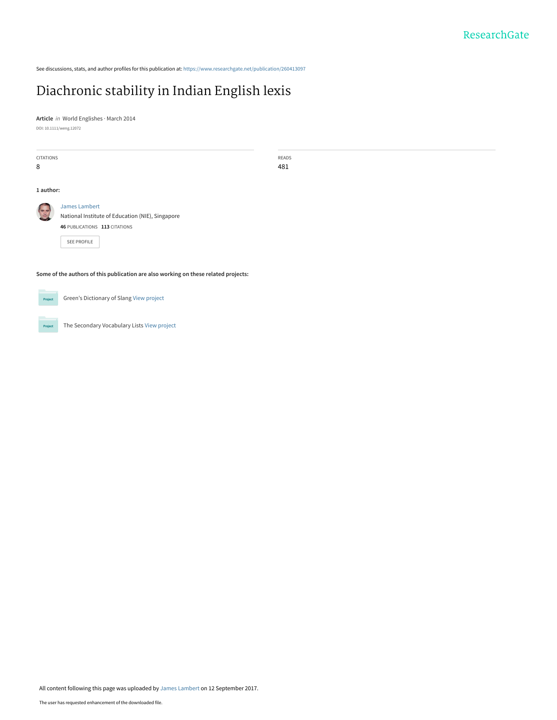See discussions, stats, and author profiles for this publication at: [https://www.researchgate.net/publication/260413097](https://www.researchgate.net/publication/260413097_Diachronic_stability_in_Indian_English_lexis?enrichId=rgreq-124901d45a37114ec2b0cd3703b86ab0-XXX&enrichSource=Y292ZXJQYWdlOzI2MDQxMzA5NztBUzo1Mzc2Nzc2NzEzNTAyNzJAMTUwNTIwMzc1NDYzNA%3D%3D&el=1_x_2&_esc=publicationCoverPdf)

# [Diachronic stability in Indian English lexis](https://www.researchgate.net/publication/260413097_Diachronic_stability_in_Indian_English_lexis?enrichId=rgreq-124901d45a37114ec2b0cd3703b86ab0-XXX&enrichSource=Y292ZXJQYWdlOzI2MDQxMzA5NztBUzo1Mzc2Nzc2NzEzNTAyNzJAMTUwNTIwMzc1NDYzNA%3D%3D&el=1_x_3&_esc=publicationCoverPdf)

**Article** in World Englishes · March 2014 DOI: 10.1111/weng.12072

| 481                                                                                                                      |
|--------------------------------------------------------------------------------------------------------------------------|
|                                                                                                                          |
|                                                                                                                          |
|                                                                                                                          |
|                                                                                                                          |
|                                                                                                                          |
|                                                                                                                          |
| James Lambert<br>National Institute of Education (NIE), Singapore<br>46 PUBLICATIONS 113 CITATIONS<br><b>SEE PROFILE</b> |

Some of the authors of this publication are also working on these related proje



Project

Green's Dictionary of Slang [View project](https://www.researchgate.net/project/Greens-Dictionary-of-Slang?enrichId=rgreq-124901d45a37114ec2b0cd3703b86ab0-XXX&enrichSource=Y292ZXJQYWdlOzI2MDQxMzA5NztBUzo1Mzc2Nzc2NzEzNTAyNzJAMTUwNTIwMzc1NDYzNA%3D%3D&el=1_x_9&_esc=publicationCoverPdf)

The Secondary Vocabulary Lists [View project](https://www.researchgate.net/project/The-Secondary-Vocabulary-Lists?enrichId=rgreq-124901d45a37114ec2b0cd3703b86ab0-XXX&enrichSource=Y292ZXJQYWdlOzI2MDQxMzA5NztBUzo1Mzc2Nzc2NzEzNTAyNzJAMTUwNTIwMzc1NDYzNA%3D%3D&el=1_x_9&_esc=publicationCoverPdf)

All content following this page was uploaded by [James Lambert](https://www.researchgate.net/profile/James-Lambert-9?enrichId=rgreq-124901d45a37114ec2b0cd3703b86ab0-XXX&enrichSource=Y292ZXJQYWdlOzI2MDQxMzA5NztBUzo1Mzc2Nzc2NzEzNTAyNzJAMTUwNTIwMzc1NDYzNA%3D%3D&el=1_x_10&_esc=publicationCoverPdf) on 12 September 2017.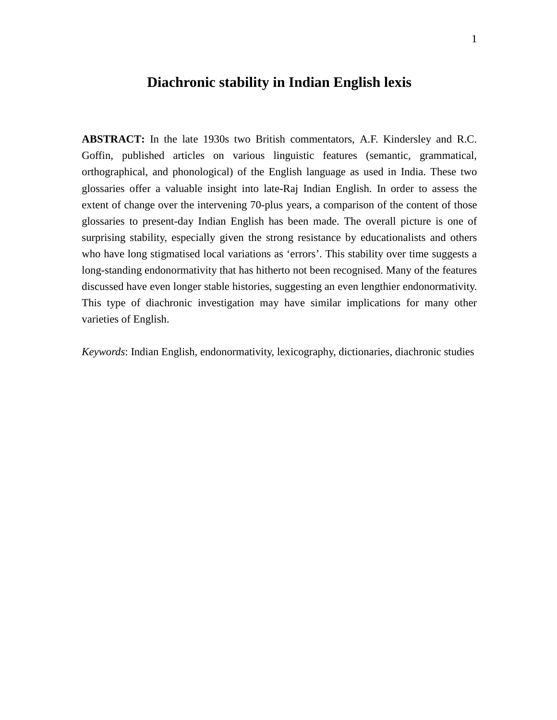## **Diachronic stability in Indian English lexis**

**ABSTRACT:** In the late 1930s two British commentators, A.F. Kindersley and R.C. Goffin, published articles on various linguistic features (semantic, grammatical, orthographical, and phonological) of the English language as used in India. These two glossaries offer a valuable insight into late-Raj Indian English. In order to assess the extent of change over the intervening 70-plus years, a comparison of the content of those glossaries to present-day Indian English has been made. The overall picture is one of surprising stability, especially given the strong resistance by educationalists and others who have long stigmatised local variations as 'errors'. This stability over time suggests a long-standing endonormativity that has hitherto not been recognised. Many of the features discussed have even longer stable histories, suggesting an even lengthier endonormativity. This type of diachronic investigation may have similar implications for many other varieties of English.

*Keywords*: Indian English, endonormativity, lexicography, dictionaries, diachronic studies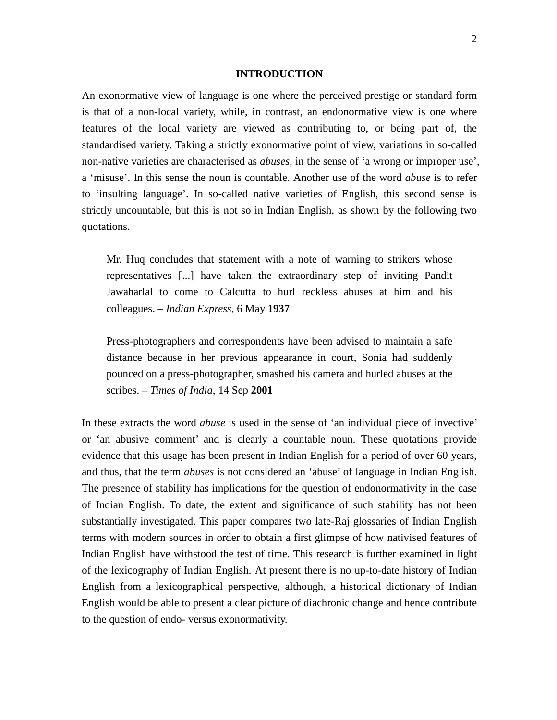#### **INTRODUCTION**

An exonormative view of language is one where the perceived prestige or standard form is that of a non-local variety, while, in contrast, an endonormative view is one where features of the local variety are viewed as contributing to, or being part of, the standardised variety. Taking a strictly exonormative point of view, variations in so-called non-native varieties are characterised as *abuses*, in the sense of 'a wrong or improper use', a 'misuse'. In this sense the noun is countable. Another use of the word *abuse* is to refer to 'insulting language'. In so-called native varieties of English, this second sense is strictly uncountable, but this is not so in Indian English, as shown by the following two quotations.

Mr. Huq concludes that statement with a note of warning to strikers whose representatives [...] have taken the extraordinary step of inviting Pandit Jawaharlal to come to Calcutta to hurl reckless abuses at him and his colleagues. – *Indian Express*, 6 May **1937**

Press-photographers and correspondents have been advised to maintain a safe distance because in her previous appearance in court, Sonia had suddenly pounced on a press-photographer, smashed his camera and hurled abuses at the scribes. – *Times of India*, 14 Sep **2001**

In these extracts the word *abuse* is used in the sense of 'an individual piece of invective' or 'an abusive comment' and is clearly a countable noun. These quotations provide evidence that this usage has been present in Indian English for a period of over 60 years, and thus, that the term *abuses* is not considered an 'abuse' of language in Indian English. The presence of stability has implications for the question of endonormativity in the case of Indian English. To date, the extent and significance of such stability has not been substantially investigated. This paper compares two late-Raj glossaries of Indian English terms with modern sources in order to obtain a first glimpse of how nativised features of Indian English have withstood the test of time. This research is further examined in light of the lexicography of Indian English. At present there is no up-to-date history of Indian English from a lexicographical perspective, although, a historical dictionary of Indian English would be able to present a clear picture of diachronic change and hence contribute to the question of endo- versus exonormativity.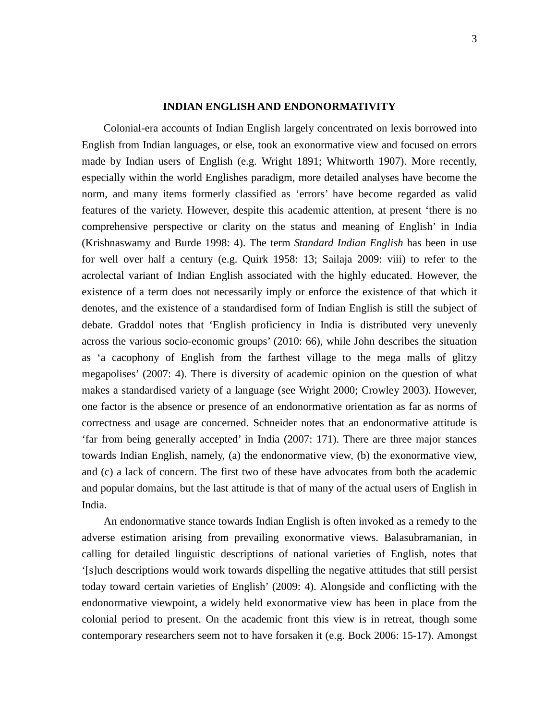#### **INDIAN ENGLISH AND ENDONORMATIVITY**

Colonial-era accounts of Indian English largely concentrated on lexis borrowed into English from Indian languages, or else, took an exonormative view and focused on errors made by Indian users of English (e.g. Wright 1891; Whitworth 1907). More recently, especially within the world Englishes paradigm, more detailed analyses have become the norm, and many items formerly classified as 'errors' have become regarded as valid features of the variety. However, despite this academic attention, at present 'there is no comprehensive perspective or clarity on the status and meaning of English' in India (Krishnaswamy and Burde 1998: 4). The term *Standard Indian English* has been in use for well over half a century (e.g. Quirk 1958: 13; Sailaja 2009: viii) to refer to the acrolectal variant of Indian English associated with the highly educated. However, the existence of a term does not necessarily imply or enforce the existence of that which it denotes, and the existence of a standardised form of Indian English is still the subject of debate. Graddol notes that 'English proficiency in India is distributed very unevenly across the various socio-economic groups' (2010: 66), while John describes the situation as 'a cacophony of English from the farthest village to the mega malls of glitzy megapolises' (2007: 4). There is diversity of academic opinion on the question of what makes a standardised variety of a language (see Wright 2000; Crowley 2003). However, one factor is the absence or presence of an endonormative orientation as far as norms of correctness and usage are concerned. Schneider notes that an endonormative attitude is 'far from being generally accepted' in India (2007: 171). There are three major stances towards Indian English, namely, (a) the endonormative view, (b) the exonormative view, and (c) a lack of concern. The first two of these have advocates from both the academic and popular domains, but the last attitude is that of many of the actual users of English in India.

An endonormative stance towards Indian English is often invoked as a remedy to the adverse estimation arising from prevailing exonormative views. Balasubramanian, in calling for detailed linguistic descriptions of national varieties of English, notes that '[s]uch descriptions would work towards dispelling the negative attitudes that still persist today toward certain varieties of English' (2009: 4). Alongside and conflicting with the endonormative viewpoint, a widely held exonormative view has been in place from the colonial period to present. On the academic front this view is in retreat, though some contemporary researchers seem not to have forsaken it (e.g. Bock 2006: 15-17). Amongst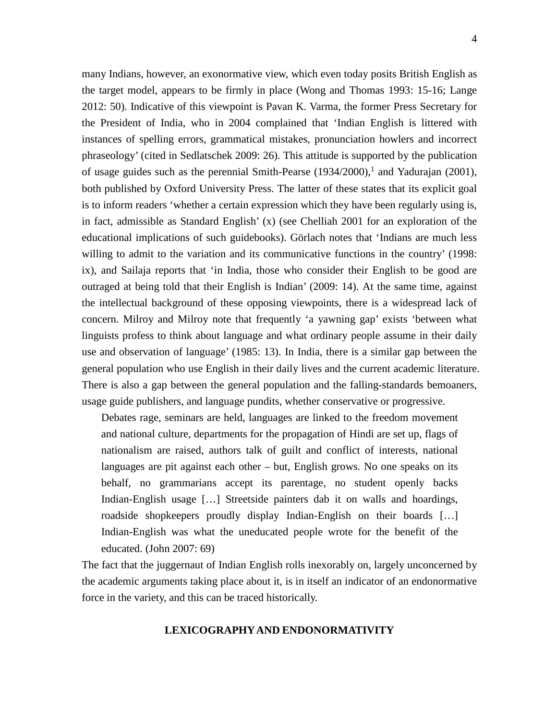many Indians, however, an exonormative view, which even today posits British English as the target model, appears to be firmly in place (Wong and Thomas 1993: 15-16; Lange 2012: 50). Indicative of this viewpoint is Pavan K. Varma, the former Press Secretary for the President of India, who in 2004 complained that 'Indian English is littered with instances of spelling errors, grammatical mistakes, pronunciation howlers and incorrect phraseology' (cited in Sedlatschek 2009: 26). This attitude is supported by the publication of usage guides such as the perennial Smith-Pearse  $(1934/2000)$ ,<sup>1</sup> and Yadurajan (2001), both published by Oxford University Press. The latter of these states that its explicit goal is to inform readers 'whether a certain expression which they have been regularly using is, in fact, admissible as Standard English' (x) (see Chelliah 2001 for an exploration of the educational implications of such guidebooks). Görlach notes that 'Indians are much less willing to admit to the variation and its communicative functions in the country' (1998: ix), and Sailaja reports that 'in India, those who consider their English to be good are outraged at being told that their English is Indian' (2009: 14). At the same time, against the intellectual background of these opposing viewpoints, there is a widespread lack of concern. Milroy and Milroy note that frequently 'a yawning gap' exists 'between what linguists profess to think about language and what ordinary people assume in their daily use and observation of language' (1985: 13). In India, there is a similar gap between the general population who use English in their daily lives and the current academic literature. There is also a gap between the general population and the falling-standards bemoaners, usage guide publishers, and language pundits, whether conservative or progressive.

Debates rage, seminars are held, languages are linked to the freedom movement and national culture, departments for the propagation of Hindi are set up, flags of nationalism are raised, authors talk of guilt and conflict of interests, national languages are pit against each other – but, English grows. No one speaks on its behalf, no grammarians accept its parentage, no student openly backs Indian-English usage […] Streetside painters dab it on walls and hoardings, roadside shopkeepers proudly display Indian-English on their boards […] Indian-English was what the uneducated people wrote for the benefit of the educated. (John 2007: 69)

The fact that the juggernaut of Indian English rolls inexorably on, largely unconcerned by the academic arguments taking place about it, is in itself an indicator of an endonormative force in the variety, and this can be traced historically.

#### **LEXICOGRAPHYAND ENDONORMATIVITY**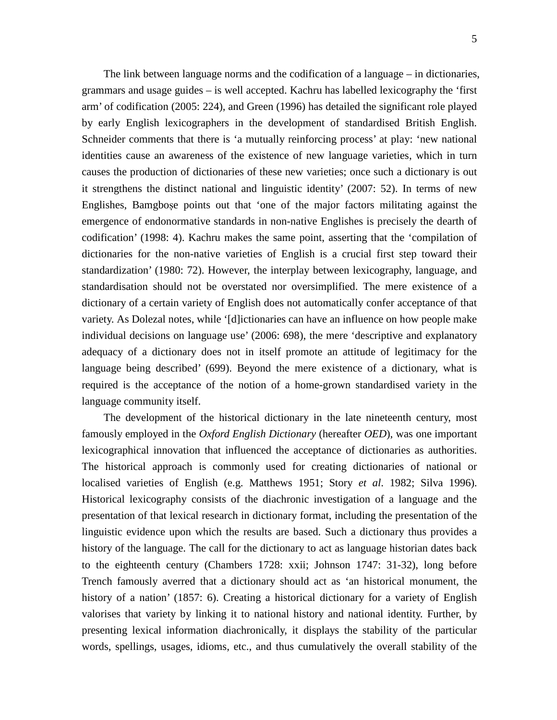The link between language norms and the codification of a language – in dictionaries, grammars and usage guides – is well accepted. Kachru has labelled lexicography the 'first arm' of codification (2005: 224), and Green (1996) has detailed the significant role played by early English lexicographers in the development of standardised British English. Schneider comments that there is 'a mutually reinforcing process' at play: 'new national identities cause an awareness of the existence of new language varieties, which in turn causes the production of dictionaries of these new varieties; once such a dictionary is out it strengthens the distinct national and linguistic identity' (2007: 52). In terms of new Englishes, Bamgbose points out that 'one of the major factors militating against the emergence of endonormative standards in non-native Englishes is precisely the dearth of codification' (1998: 4). Kachru makes the same point, asserting that the 'compilation of dictionaries for the non-native varieties of English is a crucial first step toward their standardization' (1980: 72). However, the interplay between lexicography, language, and standardisation should not be overstated nor oversimplified. The mere existence of a dictionary of a certain variety of English does not automatically confer acceptance of that variety. As Dolezal notes, while '[d]ictionaries can have an influence on how people make individual decisions on language use' (2006: 698), the mere 'descriptive and explanatory adequacy of a dictionary does not in itself promote an attitude of legitimacy for the language being described' (699). Beyond the mere existence of a dictionary, what is required is the acceptance of the notion of a home-grown standardised variety in the language community itself.

The development of the historical dictionary in the late nineteenth century, most famously employed in the *Oxford English Dictionary* (hereafter *OED*), was one important lexicographical innovation that influenced the acceptance of dictionaries as authorities. The historical approach is commonly used for creating dictionaries of national or localised varieties of English (e.g. Matthews 1951; Story *et al*. 1982; Silva 1996). Historical lexicography consists of the diachronic investigation of a language and the presentation of that lexical research in dictionary format, including the presentation of the linguistic evidence upon which the results are based. Such a dictionary thus provides a history of the language. The call for the dictionary to act as language historian dates back to the eighteenth century (Chambers 1728: xxii; Johnson 1747: 31-32), long before Trench famously averred that a dictionary should act as 'an historical monument, the history of a nation' (1857: 6). Creating a historical dictionary for a variety of English valorises that variety by linking it to national history and national identity. Further, by presenting lexical information diachronically, it displays the stability of the particular words, spellings, usages, idioms, etc., and thus cumulatively the overall stability of the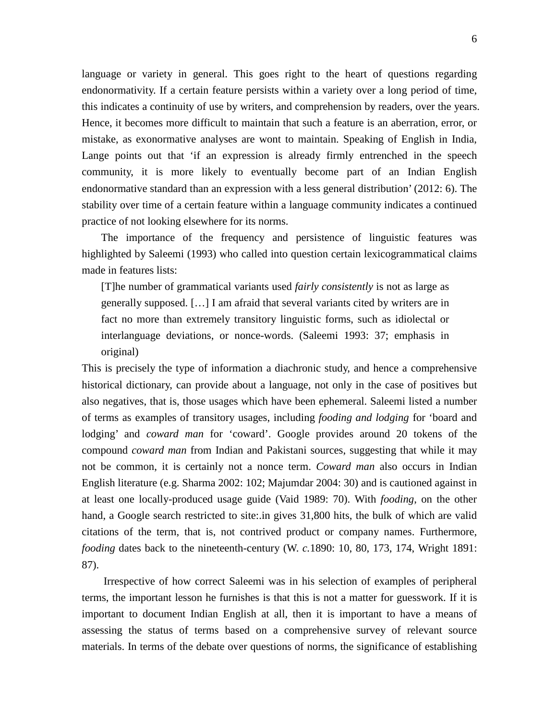language or variety in general. This goes right to the heart of questions regarding endonormativity. If a certain feature persists within a variety over a long period of time, this indicates a continuity of use by writers, and comprehension by readers, over the years. Hence, it becomes more difficult to maintain that such a feature is an aberration, error, or mistake, as exonormative analyses are wont to maintain. Speaking of English in India, Lange points out that 'if an expression is already firmly entrenched in the speech community, it is more likely to eventually become part of an Indian English endonormative standard than an expression with a less general distribution' (2012: 6). The stability over time of a certain feature within a language community indicates a continued practice of not looking elsewhere for its norms.

The importance of the frequency and persistence of linguistic features was highlighted by Saleemi (1993) who called into question certain lexicogrammatical claims made in features lists:

[T]he number of grammatical variants used *fairly consistently* is not as large as generally supposed. […] I am afraid that several variants cited by writers are in fact no more than extremely transitory linguistic forms, such as idiolectal or interlanguage deviations, or nonce-words. (Saleemi 1993: 37; emphasis in original)

This is precisely the type of information a diachronic study, and hence a comprehensive historical dictionary, can provide about a language, not only in the case of positives but also negatives, that is, those usages which have been ephemeral. Saleemi listed a number of terms as examples of transitory usages, including *fooding and lodging* for 'board and lodging' and *coward man* for 'coward'. Google provides around 20 tokens of the compound *coward man* from Indian and Pakistani sources, suggesting that while it may not be common, it is certainly not a nonce term. *Coward man* also occurs in Indian English literature (e.g. Sharma 2002: 102; Majumdar 2004: 30) and is cautioned against in at least one locally-produced usage guide (Vaid 1989: 70). With *fooding*, on the other hand, a Google search restricted to site:.in gives 31,800 hits, the bulk of which are valid citations of the term, that is, not contrived product or company names. Furthermore, *fooding* dates back to the nineteenth-century (W. *c.*1890: 10, 80, 173, 174, Wright 1891: 87).

Irrespective of how correct Saleemi was in his selection of examples of peripheral terms, the important lesson he furnishes is that this is not a matter for guesswork. If it is important to document Indian English at all, then it is important to have a means of assessing the status of terms based on a comprehensive survey of relevant source materials. In terms of the debate over questions of norms, the significance of establishing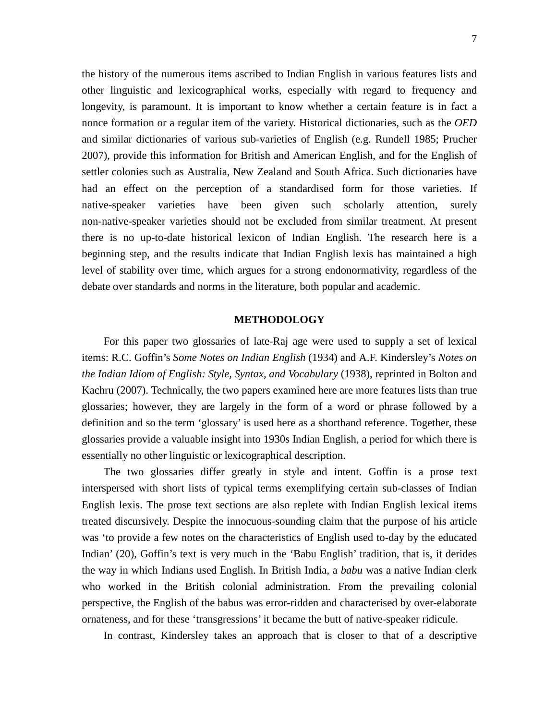the history of the numerous items ascribed to Indian English in various features lists and other linguistic and lexicographical works, especially with regard to frequency and longevity, is paramount. It is important to know whether a certain feature is in fact a nonce formation or a regular item of the variety. Historical dictionaries, such as the *OED*  and similar dictionaries of various sub-varieties of English (e.g. Rundell 1985; Prucher 2007), provide this information for British and American English, and for the English of settler colonies such as Australia, New Zealand and South Africa. Such dictionaries have had an effect on the perception of a standardised form for those varieties. If native-speaker varieties have been given such scholarly attention, surely non-native-speaker varieties should not be excluded from similar treatment. At present there is no up-to-date historical lexicon of Indian English. The research here is a beginning step, and the results indicate that Indian English lexis has maintained a high level of stability over time, which argues for a strong endonormativity, regardless of the debate over standards and norms in the literature, both popular and academic.

#### **METHODOLOGY**

For this paper two glossaries of late-Raj age were used to supply a set of lexical items: R.C. Goffin's *Some Notes on Indian English* (1934) and A.F. Kindersley's *Notes on the Indian Idiom of English: Style, Syntax, and Vocabulary* (1938), reprinted in Bolton and Kachru (2007). Technically, the two papers examined here are more features lists than true glossaries; however, they are largely in the form of a word or phrase followed by a definition and so the term 'glossary' is used here as a shorthand reference. Together, these glossaries provide a valuable insight into 1930s Indian English, a period for which there is essentially no other linguistic or lexicographical description.

The two glossaries differ greatly in style and intent. Goffin is a prose text interspersed with short lists of typical terms exemplifying certain sub-classes of Indian English lexis. The prose text sections are also replete with Indian English lexical items treated discursively. Despite the innocuous-sounding claim that the purpose of his article was 'to provide a few notes on the characteristics of English used to-day by the educated Indian' (20), Goffin's text is very much in the 'Babu English' tradition, that is, it derides the way in which Indians used English. In British India, a *babu* was a native Indian clerk who worked in the British colonial administration. From the prevailing colonial perspective, the English of the babus was error-ridden and characterised by over-elaborate ornateness, and for these 'transgressions' it became the butt of native-speaker ridicule.

In contrast, Kindersley takes an approach that is closer to that of a descriptive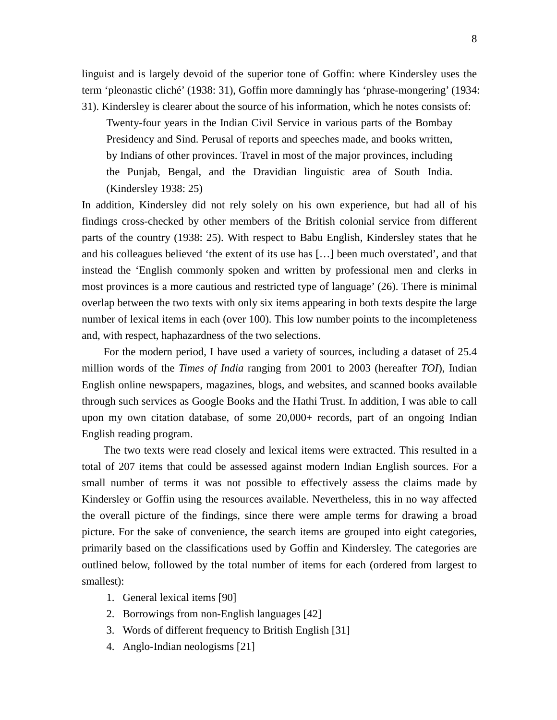linguist and is largely devoid of the superior tone of Goffin: where Kindersley uses the term 'pleonastic cliché' (1938: 31), Goffin more damningly has 'phrase-mongering' (1934: 31). Kindersley is clearer about the source of his information, which he notes consists of:

Twenty-four years in the Indian Civil Service in various parts of the Bombay Presidency and Sind. Perusal of reports and speeches made, and books written, by Indians of other provinces. Travel in most of the major provinces, including the Punjab, Bengal, and the Dravidian linguistic area of South India. (Kindersley 1938: 25)

In addition, Kindersley did not rely solely on his own experience, but had all of his findings cross-checked by other members of the British colonial service from different parts of the country (1938: 25). With respect to Babu English, Kindersley states that he and his colleagues believed 'the extent of its use has […] been much overstated', and that instead the 'English commonly spoken and written by professional men and clerks in most provinces is a more cautious and restricted type of language' (26). There is minimal overlap between the two texts with only six items appearing in both texts despite the large number of lexical items in each (over 100). This low number points to the incompleteness and, with respect, haphazardness of the two selections.

For the modern period, I have used a variety of sources, including a dataset of 25.4 million words of the *Times of India* ranging from 2001 to 2003 (hereafter *TOI*), Indian English online newspapers, magazines, blogs, and websites, and scanned books available through such services as Google Books and the Hathi Trust. In addition, I was able to call upon my own citation database, of some 20,000+ records, part of an ongoing Indian English reading program.

The two texts were read closely and lexical items were extracted. This resulted in a total of 207 items that could be assessed against modern Indian English sources. For a small number of terms it was not possible to effectively assess the claims made by Kindersley or Goffin using the resources available. Nevertheless, this in no way affected the overall picture of the findings, since there were ample terms for drawing a broad picture. For the sake of convenience, the search items are grouped into eight categories, primarily based on the classifications used by Goffin and Kindersley. The categories are outlined below, followed by the total number of items for each (ordered from largest to smallest):

- 1. General lexical items [90]
- 2. Borrowings from non-English languages [42]
- 3. Words of different frequency to British English [31]
- 4. Anglo-Indian neologisms [21]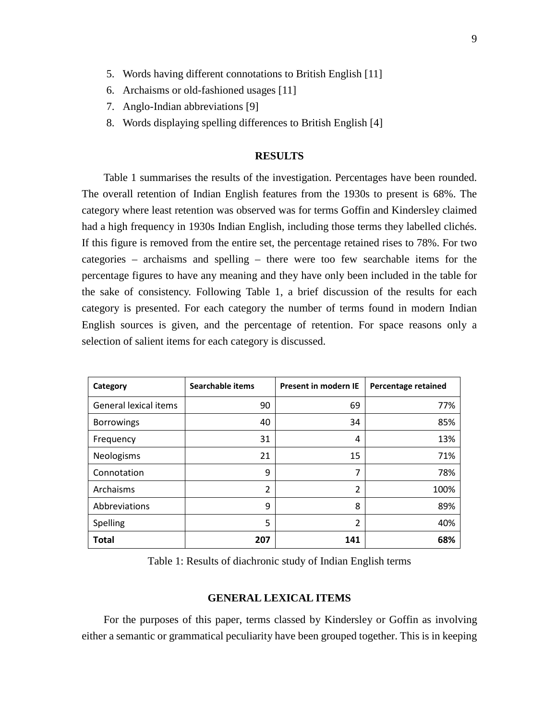- 5. Words having different connotations to British English [11]
- 6. Archaisms or old-fashioned usages [11]
- 7. Anglo-Indian abbreviations [9]
- 8. Words displaying spelling differences to British English [4]

#### **RESULTS**

Table 1 summarises the results of the investigation. Percentages have been rounded. The overall retention of Indian English features from the 1930s to present is 68%. The category where least retention was observed was for terms Goffin and Kindersley claimed had a high frequency in 1930s Indian English, including those terms they labelled clichés. If this figure is removed from the entire set, the percentage retained rises to 78%. For two categories – archaisms and spelling – there were too few searchable items for the percentage figures to have any meaning and they have only been included in the table for the sake of consistency. Following Table 1, a brief discussion of the results for each category is presented. For each category the number of terms found in modern Indian English sources is given, and the percentage of retention. For space reasons only a selection of salient items for each category is discussed.

| Category              | Searchable items | <b>Present in modern IE</b> | Percentage retained |
|-----------------------|------------------|-----------------------------|---------------------|
| General lexical items | 90               | 69                          | 77%                 |
| <b>Borrowings</b>     | 40               | 34                          | 85%                 |
| Frequency             | 31               | 4                           | 13%                 |
| Neologisms            | 21               | 15                          | 71%                 |
| Connotation           | 9                | 7                           | 78%                 |
| Archaisms             | $\overline{2}$   | 2                           | 100%                |
| Abbreviations         | 9                | 8                           | 89%                 |
| Spelling              | 5                | 2                           | 40%                 |
| <b>Total</b>          | 207              | 141                         | 68%                 |

Table 1: Results of diachronic study of Indian English terms

#### **GENERAL LEXICAL ITEMS**

For the purposes of this paper, terms classed by Kindersley or Goffin as involving either a semantic or grammatical peculiarity have been grouped together. This is in keeping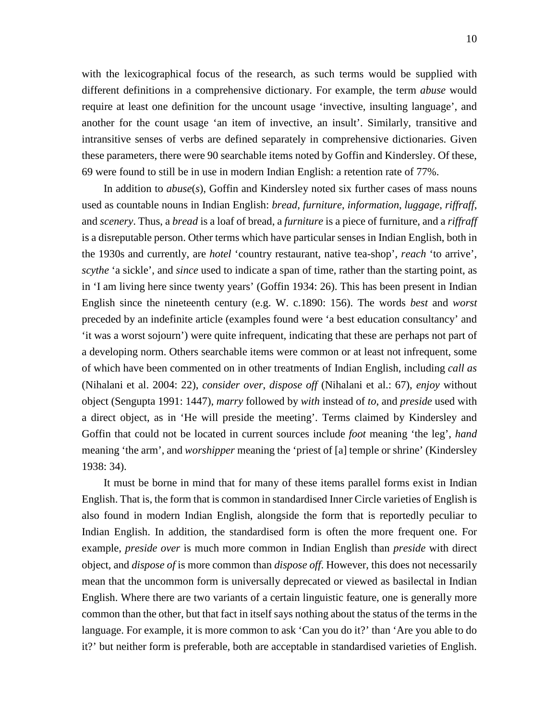with the lexicographical focus of the research, as such terms would be supplied with different definitions in a comprehensive dictionary. For example, the term *abuse* would require at least one definition for the uncount usage 'invective, insulting language', and another for the count usage 'an item of invective, an insult'. Similarly, transitive and intransitive senses of verbs are defined separately in comprehensive dictionaries. Given these parameters, there were 90 searchable items noted by Goffin and Kindersley. Of these, 69 were found to still be in use in modern Indian English: a retention rate of 77%.

In addition to *abuse*(*s*), Goffin and Kindersley noted six further cases of mass nouns used as countable nouns in Indian English: *bread*, *furniture*, *information*, *luggage*, *riffraff*, and *scenery*. Thus, a *bread* is a loaf of bread, a *furniture* is a piece of furniture, and a *riffraff* is a disreputable person. Other terms which have particular senses in Indian English, both in the 1930s and currently, are *hotel* 'country restaurant, native tea-shop', *reach* 'to arrive', *scythe* 'a sickle', and *since* used to indicate a span of time, rather than the starting point, as in 'I am living here since twenty years' (Goffin 1934: 26). This has been present in Indian English since the nineteenth century (e.g. W. c.1890: 156). The words *best* and *worst* preceded by an indefinite article (examples found were 'a best education consultancy' and 'it was a worst sojourn') were quite infrequent, indicating that these are perhaps not part of a developing norm. Others searchable items were common or at least not infrequent, some of which have been commented on in other treatments of Indian English, including *call as* (Nihalani et al. 2004: 22), *consider over*, *dispose off* (Nihalani et al.: 67), *enjoy* without object (Sengupta 1991: 1447), *marry* followed by *with* instead of *to*, and *preside* used with a direct object, as in 'He will preside the meeting'. Terms claimed by Kindersley and Goffin that could not be located in current sources include *foot* meaning 'the leg', *hand* meaning 'the arm', and *worshipper* meaning the 'priest of [a] temple or shrine' (Kindersley 1938: 34).

It must be borne in mind that for many of these items parallel forms exist in Indian English. That is, the form that is common in standardised Inner Circle varieties of English is also found in modern Indian English, alongside the form that is reportedly peculiar to Indian English. In addition, the standardised form is often the more frequent one. For example, *preside over* is much more common in Indian English than *preside* with direct object, and *dispose of* is more common than *dispose off*. However, this does not necessarily mean that the uncommon form is universally deprecated or viewed as basilectal in Indian English. Where there are two variants of a certain linguistic feature, one is generally more common than the other, but that fact in itself says nothing about the status of the terms in the language. For example, it is more common to ask 'Can you do it?' than 'Are you able to do it?' but neither form is preferable, both are acceptable in standardised varieties of English.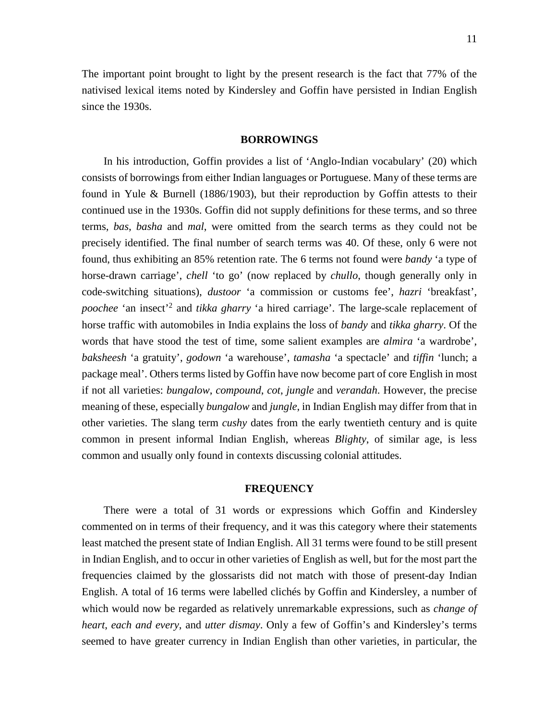The important point brought to light by the present research is the fact that 77% of the nativised lexical items noted by Kindersley and Goffin have persisted in Indian English since the 1930s.

#### **BORROWINGS**

In his introduction, Goffin provides a list of 'Anglo-Indian vocabulary' (20) which consists of borrowings from either Indian languages or Portuguese. Many of these terms are found in Yule & Burnell (1886/1903), but their reproduction by Goffin attests to their continued use in the 1930s. Goffin did not supply definitions for these terms, and so three terms, *bas*, *basha* and *mal*, were omitted from the search terms as they could not be precisely identified. The final number of search terms was 40. Of these, only 6 were not found, thus exhibiting an 85% retention rate. The 6 terms not found were *bandy* 'a type of horse-drawn carriage', *chell* 'to go' (now replaced by *chullo*, though generally only in code-switching situations), *dustoor* 'a commission or customs fee', *hazri* 'breakfast', *poochee* 'an insect'2 and *tikka gharry* 'a hired carriage'. The large-scale replacement of horse traffic with automobiles in India explains the loss of *bandy* and *tikka gharry*. Of the words that have stood the test of time, some salient examples are *almira* 'a wardrobe', *baksheesh* 'a gratuity', *godown* 'a warehouse', *tamasha* 'a spectacle' and *tiffin* 'lunch; a package meal'. Others terms listed by Goffin have now become part of core English in most if not all varieties: *bungalow*, *compound*, *cot*, *jungle* and *verandah*. However, the precise meaning of these, especially *bungalow* and *jungle*, in Indian English may differ from that in other varieties. The slang term *cushy* dates from the early twentieth century and is quite common in present informal Indian English, whereas *Blighty*, of similar age, is less common and usually only found in contexts discussing colonial attitudes.

#### **FREQUENCY**

There were a total of 31 words or expressions which Goffin and Kindersley commented on in terms of their frequency, and it was this category where their statements least matched the present state of Indian English. All 31 terms were found to be still present in Indian English, and to occur in other varieties of English as well, but for the most part the frequencies claimed by the glossarists did not match with those of present-day Indian English. A total of 16 terms were labelled clichés by Goffin and Kindersley, a number of which would now be regarded as relatively unremarkable expressions, such as *change of heart*, *each and every*, and *utter dismay*. Only a few of Goffin's and Kindersley's terms seemed to have greater currency in Indian English than other varieties, in particular, the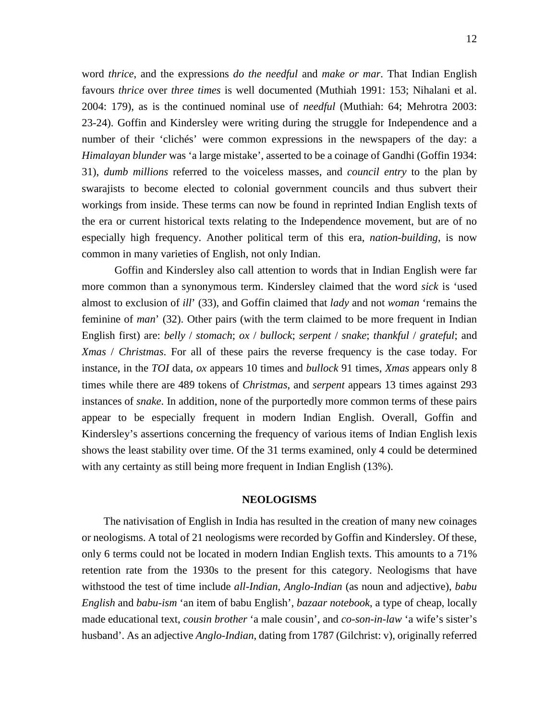word *thrice*, and the expressions *do the needful* and *make or mar*. That Indian English favours *thrice* over *three times* is well documented (Muthiah 1991: 153; Nihalani et al. 2004: 179), as is the continued nominal use of *needful* (Muthiah: 64; Mehrotra 2003: 23-24). Goffin and Kindersley were writing during the struggle for Independence and a number of their 'clichés' were common expressions in the newspapers of the day: a *Himalayan blunder* was 'a large mistake', asserted to be a coinage of Gandhi (Goffin 1934: 31), *dumb millions* referred to the voiceless masses, and *council entry* to the plan by swarajists to become elected to colonial government councils and thus subvert their workings from inside. These terms can now be found in reprinted Indian English texts of the era or current historical texts relating to the Independence movement, but are of no especially high frequency. Another political term of this era, *nation-building*, is now common in many varieties of English, not only Indian.

Goffin and Kindersley also call attention to words that in Indian English were far more common than a synonymous term. Kindersley claimed that the word *sick* is 'used almost to exclusion of *ill*' (33), and Goffin claimed that *lady* and not *woman* 'remains the feminine of *man*' (32). Other pairs (with the term claimed to be more frequent in Indian English first) are: *belly* / *stomach*; *ox* / *bullock*; *serpent* / *snake*; *thankful* / *grateful*; and *Xmas* / *Christmas*. For all of these pairs the reverse frequency is the case today. For instance, in the *TOI* data, *ox* appears 10 times and *bullock* 91 times, *Xmas* appears only 8 times while there are 489 tokens of *Christmas*, and *serpent* appears 13 times against 293 instances of *snake*. In addition, none of the purportedly more common terms of these pairs appear to be especially frequent in modern Indian English. Overall, Goffin and Kindersley's assertions concerning the frequency of various items of Indian English lexis shows the least stability over time. Of the 31 terms examined, only 4 could be determined with any certainty as still being more frequent in Indian English (13%).

#### **NEOLOGISMS**

The nativisation of English in India has resulted in the creation of many new coinages or neologisms. A total of 21 neologisms were recorded by Goffin and Kindersley. Of these, only 6 terms could not be located in modern Indian English texts. This amounts to a 71% retention rate from the 1930s to the present for this category. Neologisms that have withstood the test of time include *all-Indian*, *Anglo-Indian* (as noun and adjective), *babu English* and *babu-ism* 'an item of babu English', *bazaar notebook*, a type of cheap, locally made educational text, *cousin brother* 'a male cousin', and *co-son-in-law* 'a wife's sister's husband'. As an adjective *Anglo-Indian*, dating from 1787 (Gilchrist: v), originally referred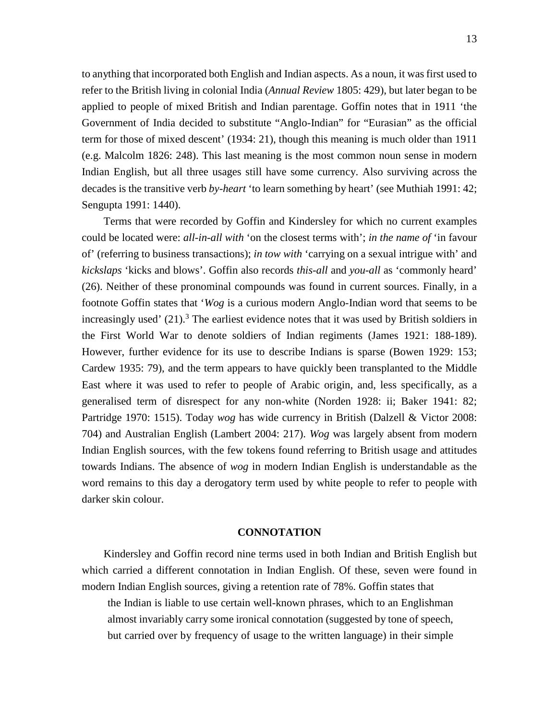to anything that incorporated both English and Indian aspects. As a noun, it was first used to refer to the British living in colonial India (*Annual Review* 1805: 429), but later began to be applied to people of mixed British and Indian parentage. Goffin notes that in 1911 'the Government of India decided to substitute "Anglo-Indian" for "Eurasian" as the official term for those of mixed descent' (1934: 21), though this meaning is much older than 1911 (e.g. Malcolm 1826: 248). This last meaning is the most common noun sense in modern Indian English, but all three usages still have some currency. Also surviving across the decades is the transitive verb *by-heart* 'to learn something by heart' (see Muthiah 1991: 42; Sengupta 1991: 1440).

Terms that were recorded by Goffin and Kindersley for which no current examples could be located were: *all-in-all with* 'on the closest terms with'; *in the name of* 'in favour of' (referring to business transactions); *in tow with* 'carrying on a sexual intrigue with' and *kickslaps* 'kicks and blows'. Goffin also records *this-all* and *you-all* as 'commonly heard' (26). Neither of these pronominal compounds was found in current sources. Finally, in a footnote Goffin states that '*Wog* is a curious modern Anglo-Indian word that seems to be increasingly used'  $(21)$ .<sup>3</sup> The earliest evidence notes that it was used by British soldiers in the First World War to denote soldiers of Indian regiments (James 1921: 188-189). However, further evidence for its use to describe Indians is sparse (Bowen 1929: 153; Cardew 1935: 79), and the term appears to have quickly been transplanted to the Middle East where it was used to refer to people of Arabic origin, and, less specifically, as a generalised term of disrespect for any non-white (Norden 1928: ii; Baker 1941: 82; Partridge 1970: 1515). Today *wog* has wide currency in British (Dalzell & Victor 2008: 704) and Australian English (Lambert 2004: 217). *Wog* was largely absent from modern Indian English sources, with the few tokens found referring to British usage and attitudes towards Indians. The absence of *wog* in modern Indian English is understandable as the word remains to this day a derogatory term used by white people to refer to people with darker skin colour.

#### **CONNOTATION**

Kindersley and Goffin record nine terms used in both Indian and British English but which carried a different connotation in Indian English. Of these, seven were found in modern Indian English sources, giving a retention rate of 78%. Goffin states that the Indian is liable to use certain well-known phrases, which to an Englishman

almost invariably carry some ironical connotation (suggested by tone of speech, but carried over by frequency of usage to the written language) in their simple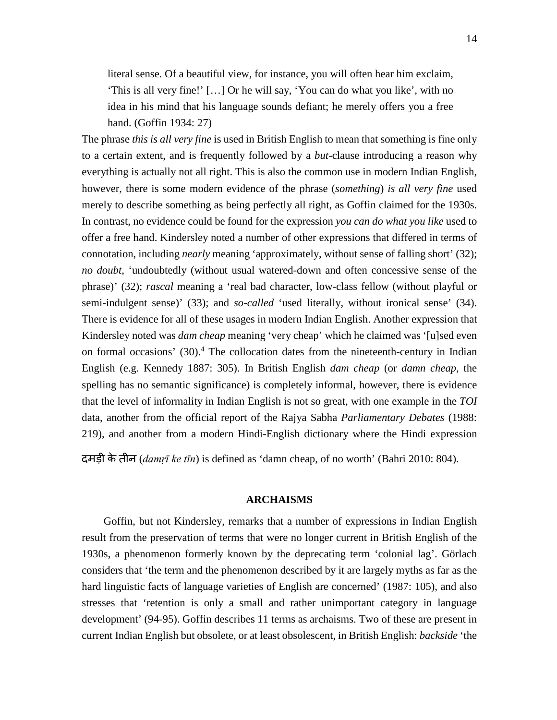literal sense. Of a beautiful view, for instance, you will often hear him exclaim, 'This is all very fine!' […] Or he will say, 'You can do what you like', with no idea in his mind that his language sounds defiant; he merely offers you a free hand. (Goffin 1934: 27)

The phrase *this is all very fine* is used in British English to mean that something is fine only to a certain extent, and is frequently followed by a *but*-clause introducing a reason why everything is actually not all right. This is also the common use in modern Indian English, however, there is some modern evidence of the phrase (*something*) *is all very fine* used merely to describe something as being perfectly all right, as Goffin claimed for the 1930s. In contrast, no evidence could be found for the expression *you can do what you like* used to offer a free hand. Kindersley noted a number of other expressions that differed in terms of connotation, including *nearly* meaning 'approximately, without sense of falling short' (32); *no doubt*, 'undoubtedly (without usual watered-down and often concessive sense of the phrase)' (32); *rascal* meaning a 'real bad character, low-class fellow (without playful or semi-indulgent sense)' (33); and *so-called* 'used literally, without ironical sense' (34). There is evidence for all of these usages in modern Indian English. Another expression that Kindersley noted was *dam cheap* meaning 'very cheap' which he claimed was '[u]sed even on formal occasions' (30).<sup>4</sup> The collocation dates from the nineteenth-century in Indian English (e.g. Kennedy 1887: 305). In British English *dam cheap* (or *damn cheap*, the spelling has no semantic significance) is completely informal, however, there is evidence that the level of informality in Indian English is not so great, with one example in the *TOI* data, another from the official report of the Rajya Sabha *Parliamentary Debates* (1988: 219), and another from a modern Hindi-English dictionary where the Hindi expression

दमड़ी केतीन (*damṛī ke tīn*) is defined as 'damn cheap, of no worth' (Bahri 2010: 804).

#### **ARCHAISMS**

Goffin, but not Kindersley, remarks that a number of expressions in Indian English result from the preservation of terms that were no longer current in British English of the 1930s, a phenomenon formerly known by the deprecating term 'colonial lag'. Görlach considers that 'the term and the phenomenon described by it are largely myths as far as the hard linguistic facts of language varieties of English are concerned' (1987: 105), and also stresses that 'retention is only a small and rather unimportant category in language development' (94-95). Goffin describes 11 terms as archaisms. Two of these are present in current Indian English but obsolete, or at least obsolescent, in British English: *backside* 'the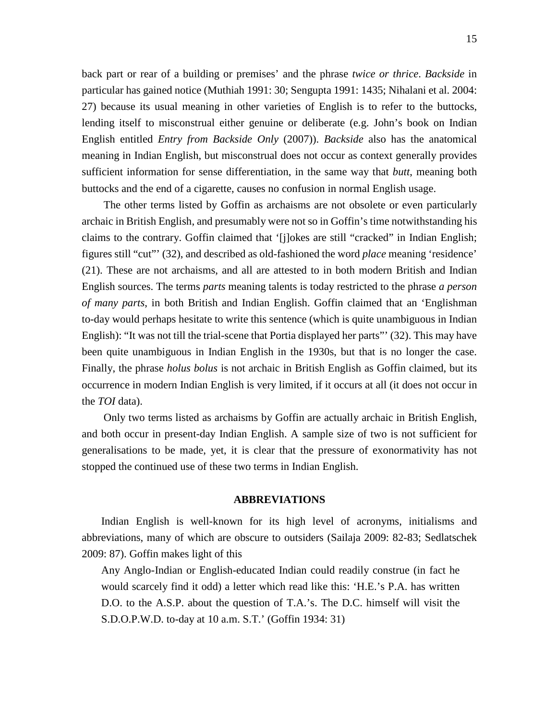back part or rear of a building or premises' and the phrase *twice or thrice*. *Backside* in particular has gained notice (Muthiah 1991: 30; Sengupta 1991: 1435; Nihalani et al. 2004: 27) because its usual meaning in other varieties of English is to refer to the buttocks, lending itself to misconstrual either genuine or deliberate (e.g. John's book on Indian English entitled *Entry from Backside Only* (2007)). *Backside* also has the anatomical meaning in Indian English, but misconstrual does not occur as context generally provides sufficient information for sense differentiation, in the same way that *butt*, meaning both buttocks and the end of a cigarette, causes no confusion in normal English usage.

The other terms listed by Goffin as archaisms are not obsolete or even particularly archaic in British English, and presumably were not so in Goffin's time notwithstanding his claims to the contrary. Goffin claimed that '[j]okes are still "cracked" in Indian English; figures still "cut"' (32), and described as old-fashioned the word *place* meaning 'residence' (21). These are not archaisms, and all are attested to in both modern British and Indian English sources. The terms *parts* meaning talents is today restricted to the phrase *a person of many parts*, in both British and Indian English. Goffin claimed that an 'Englishman to-day would perhaps hesitate to write this sentence (which is quite unambiguous in Indian English): "It was not till the trial-scene that Portia displayed her parts"' (32). This may have been quite unambiguous in Indian English in the 1930s, but that is no longer the case. Finally, the phrase *holus bolus* is not archaic in British English as Goffin claimed, but its occurrence in modern Indian English is very limited, if it occurs at all (it does not occur in the *TOI* data).

Only two terms listed as archaisms by Goffin are actually archaic in British English, and both occur in present-day Indian English. A sample size of two is not sufficient for generalisations to be made, yet, it is clear that the pressure of exonormativity has not stopped the continued use of these two terms in Indian English.

#### **ABBREVIATIONS**

Indian English is well-known for its high level of acronyms, initialisms and abbreviations, many of which are obscure to outsiders (Sailaja 2009: 82-83; Sedlatschek 2009: 87). Goffin makes light of this

Any Anglo-Indian or English-educated Indian could readily construe (in fact he would scarcely find it odd) a letter which read like this: 'H.E.'s P.A. has written D.O. to the A.S.P. about the question of T.A.'s. The D.C. himself will visit the S.D.O.P.W.D. to-day at 10 a.m. S.T.' (Goffin 1934: 31)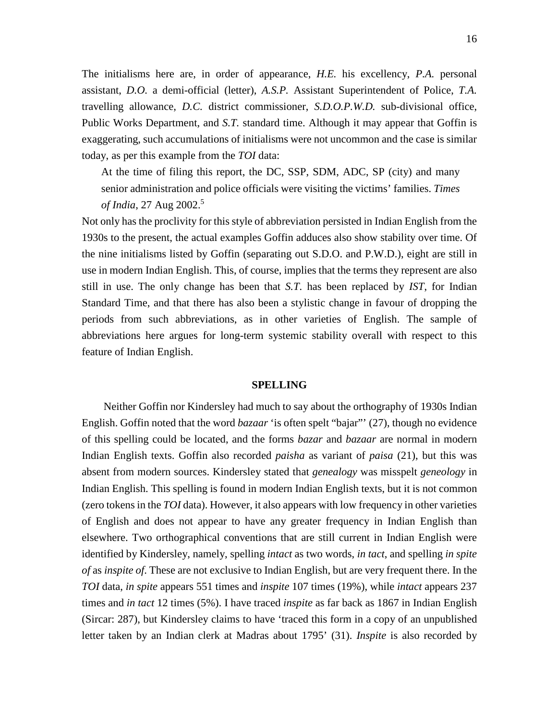The initialisms here are, in order of appearance, *H.E.* his excellency, *P.A.* personal assistant, *D.O.* a demi-official (letter), *A.S.P.* Assistant Superintendent of Police, *T.A.* travelling allowance, *D.C.* district commissioner, *S.D.O.P.W.D.* sub-divisional office, Public Works Department, and *S.T.* standard time. Although it may appear that Goffin is exaggerating, such accumulations of initialisms were not uncommon and the case is similar today, as per this example from the *TOI* data:

At the time of filing this report, the DC, SSP, SDM, ADC, SP (city) and many senior administration and police officials were visiting the victims' families. *Times of India*, 27 Aug 2002.5

Not only has the proclivity for this style of abbreviation persisted in Indian English from the 1930s to the present, the actual examples Goffin adduces also show stability over time. Of the nine initialisms listed by Goffin (separating out S.D.O. and P.W.D.), eight are still in use in modern Indian English. This, of course, implies that the terms they represent are also still in use. The only change has been that *S.T.* has been replaced by *IST*, for Indian Standard Time, and that there has also been a stylistic change in favour of dropping the periods from such abbreviations, as in other varieties of English. The sample of abbreviations here argues for long-term systemic stability overall with respect to this feature of Indian English.

#### **SPELLING**

Neither Goffin nor Kindersley had much to say about the orthography of 1930s Indian English. Goffin noted that the word *bazaar* 'is often spelt "bajar"' (27), though no evidence of this spelling could be located, and the forms *bazar* and *bazaar* are normal in modern Indian English texts. Goffin also recorded *paisha* as variant of *paisa* (21), but this was absent from modern sources. Kindersley stated that *genealogy* was misspelt *geneology* in Indian English. This spelling is found in modern Indian English texts, but it is not common (zero tokens in the *TOI* data). However, it also appears with low frequency in other varieties of English and does not appear to have any greater frequency in Indian English than elsewhere. Two orthographical conventions that are still current in Indian English were identified by Kindersley, namely, spelling *intact* as two words, *in tact*, and spelling *in spite of* as *inspite of*. These are not exclusive to Indian English, but are very frequent there. In the *TOI* data, *in spite* appears 551 times and *inspite* 107 times (19%), while *intact* appears 237 times and *in tact* 12 times (5%). I have traced *inspite* as far back as 1867 in Indian English (Sircar: 287), but Kindersley claims to have 'traced this form in a copy of an unpublished letter taken by an Indian clerk at Madras about 1795' (31). *Inspite* is also recorded by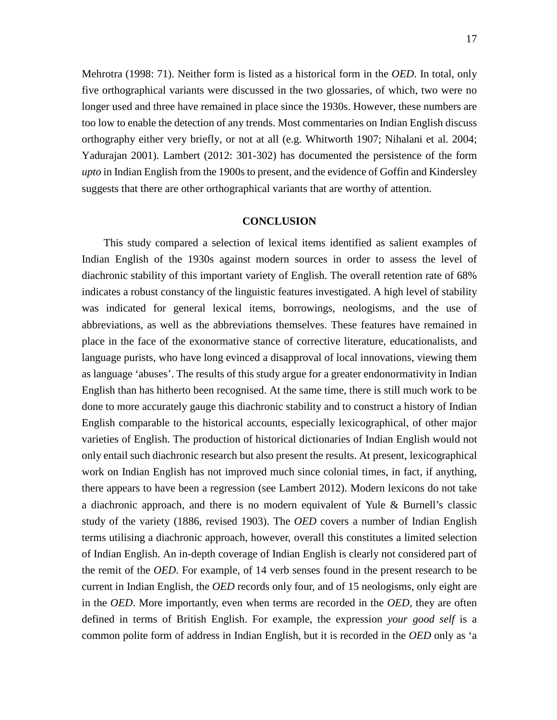Mehrotra (1998: 71). Neither form is listed as a historical form in the *OED*. In total, only five orthographical variants were discussed in the two glossaries, of which, two were no longer used and three have remained in place since the 1930s. However, these numbers are too low to enable the detection of any trends. Most commentaries on Indian English discuss orthography either very briefly, or not at all (e.g. Whitworth 1907; Nihalani et al. 2004; Yadurajan 2001). Lambert (2012: 301-302) has documented the persistence of the form *upto* in Indian English from the 1900s to present, and the evidence of Goffin and Kindersley suggests that there are other orthographical variants that are worthy of attention.

#### **CONCLUSION**

This study compared a selection of lexical items identified as salient examples of Indian English of the 1930s against modern sources in order to assess the level of diachronic stability of this important variety of English. The overall retention rate of 68% indicates a robust constancy of the linguistic features investigated. A high level of stability was indicated for general lexical items, borrowings, neologisms, and the use of abbreviations, as well as the abbreviations themselves. These features have remained in place in the face of the exonormative stance of corrective literature, educationalists, and language purists, who have long evinced a disapproval of local innovations, viewing them as language 'abuses'. The results of this study argue for a greater endonormativity in Indian English than has hitherto been recognised. At the same time, there is still much work to be done to more accurately gauge this diachronic stability and to construct a history of Indian English comparable to the historical accounts, especially lexicographical, of other major varieties of English. The production of historical dictionaries of Indian English would not only entail such diachronic research but also present the results. At present, lexicographical work on Indian English has not improved much since colonial times, in fact, if anything, there appears to have been a regression (see Lambert 2012). Modern lexicons do not take a diachronic approach, and there is no modern equivalent of Yule & Burnell's classic study of the variety (1886, revised 1903). The *OED* covers a number of Indian English terms utilising a diachronic approach, however, overall this constitutes a limited selection of Indian English. An in-depth coverage of Indian English is clearly not considered part of the remit of the *OED*. For example, of 14 verb senses found in the present research to be current in Indian English, the *OED* records only four, and of 15 neologisms, only eight are in the *OED*. More importantly, even when terms are recorded in the *OED*, they are often defined in terms of British English. For example, the expression *your good self* is a common polite form of address in Indian English, but it is recorded in the *OED* only as 'a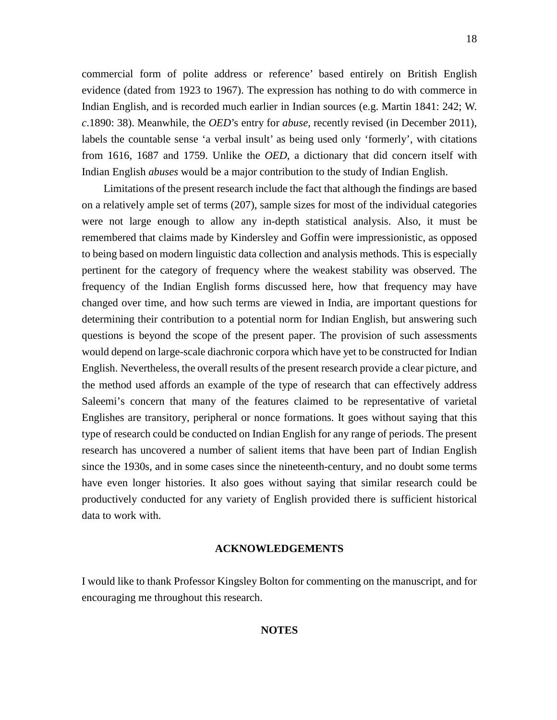commercial form of polite address or reference' based entirely on British English evidence (dated from 1923 to 1967). The expression has nothing to do with commerce in Indian English, and is recorded much earlier in Indian sources (e.g. Martin 1841: 242; W. *c*.1890: 38). Meanwhile, the *OED*'s entry for *abuse*, recently revised (in December 2011), labels the countable sense 'a verbal insult' as being used only 'formerly', with citations from 1616, 1687 and 1759. Unlike the *OED*, a dictionary that did concern itself with Indian English *abuses* would be a major contribution to the study of Indian English.

Limitations of the present research include the fact that although the findings are based on a relatively ample set of terms (207), sample sizes for most of the individual categories were not large enough to allow any in-depth statistical analysis. Also, it must be remembered that claims made by Kindersley and Goffin were impressionistic, as opposed to being based on modern linguistic data collection and analysis methods. This is especially pertinent for the category of frequency where the weakest stability was observed. The frequency of the Indian English forms discussed here, how that frequency may have changed over time, and how such terms are viewed in India, are important questions for determining their contribution to a potential norm for Indian English, but answering such questions is beyond the scope of the present paper. The provision of such assessments would depend on large-scale diachronic corpora which have yet to be constructed for Indian English. Nevertheless, the overall results of the present research provide a clear picture, and the method used affords an example of the type of research that can effectively address Saleemi's concern that many of the features claimed to be representative of varietal Englishes are transitory, peripheral or nonce formations. It goes without saying that this type of research could be conducted on Indian English for any range of periods. The present research has uncovered a number of salient items that have been part of Indian English since the 1930s, and in some cases since the nineteenth-century, and no doubt some terms have even longer histories. It also goes without saying that similar research could be productively conducted for any variety of English provided there is sufficient historical data to work with.

#### **ACKNOWLEDGEMENTS**

I would like to thank Professor Kingsley Bolton for commenting on the manuscript, and for encouraging me throughout this research.

#### **NOTES**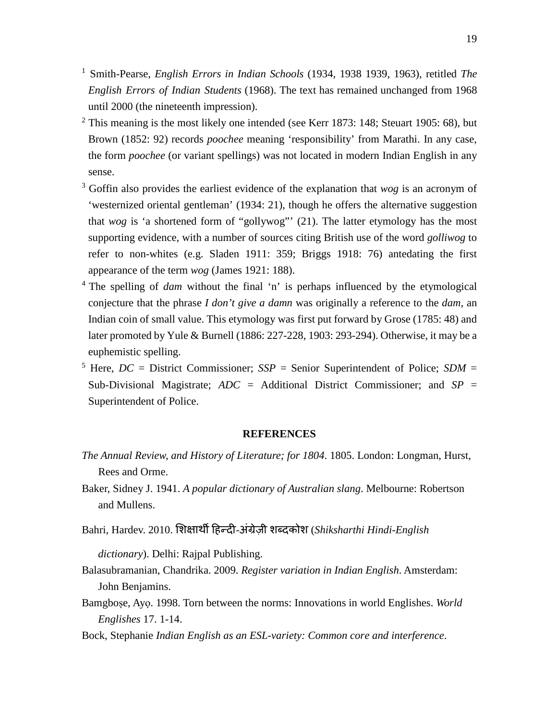- <sup>1</sup> Smith-Pearse, *English Errors in Indian Schools* (1934, 1938 1939, 1963), retitled *The English Errors of Indian Students* (1968). The text has remained unchanged from 1968 until 2000 (the nineteenth impression).
- <sup>2</sup> This meaning is the most likely one intended (see Kerr 1873: 148; Steuart 1905: 68), but Brown (1852: 92) records *poochee* meaning 'responsibility' from Marathi. In any case, the form *poochee* (or variant spellings) was not located in modern Indian English in any sense.
- <sup>3</sup> Goffin also provides the earliest evidence of the explanation that *wog* is an acronym of 'westernized oriental gentleman' (1934: 21), though he offers the alternative suggestion that *wog* is 'a shortened form of "gollywog"' (21). The latter etymology has the most supporting evidence, with a number of sources citing British use of the word *golliwog* to refer to non-whites (e.g. Sladen 1911: 359; Briggs 1918: 76) antedating the first appearance of the term *wog* (James 1921: 188).
- <sup>4</sup> The spelling of *dam* without the final 'n' is perhaps influenced by the etymological conjecture that the phrase *I don't give a damn* was originally a reference to the *dam*, an Indian coin of small value. This etymology was first put forward by Grose (1785: 48) and later promoted by Yule & Burnell (1886: 227-228, 1903: 293-294). Otherwise, it may be a euphemistic spelling.
- $^5$  Here, *DC* = District Commissioner; *SSP* = Senior Superintendent of Police; *SDM* = Sub-Divisional Magistrate; *ADC* = Additional District Commissioner; and *SP* = Superintendent of Police.

#### **REFERENCES**

- *The Annual Review, and History of Literature; for 1804*. 1805. London: Longman, Hurst, Rees and Orme.
- Baker, Sidney J. 1941. *A popular dictionary of Australian slang*. Melbourne: Robertson and Mullens.
- Bahri, Hardev. 2010. �श�ाथ� �हन्द�-अंग्रेज़ी शब्दकोश (*Shiksharthi Hindi-English*

*dictionary*). Delhi: Rajpal Publishing.

- Balasubramanian, Chandrika. 2009. *Register variation in Indian English*. Amsterdam: John Benjamins.
- Bamgboṣe, Ayọ. 1998. Torn between the norms: Innovations in world Englishes. *World Englishes* 17. 1-14.
- Bock, Stephanie *Indian English as an ESL-variety: Common core and interference*.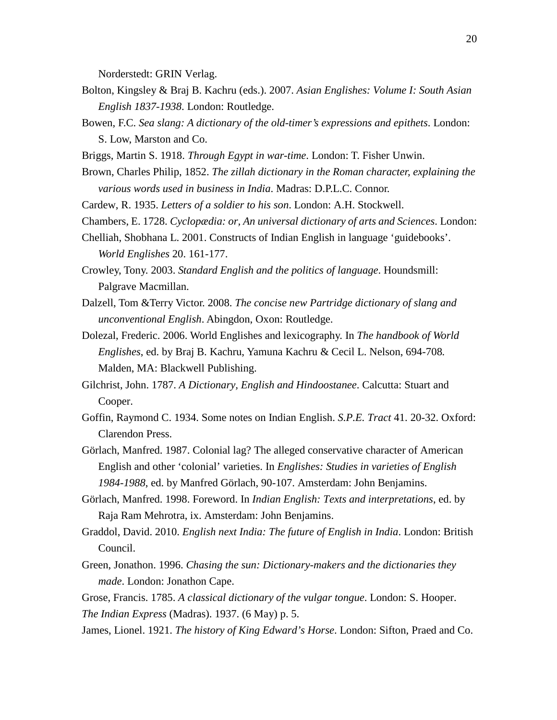Norderstedt: GRIN Verlag.

- Bolton, Kingsley & Braj B. Kachru (eds.). 2007. *Asian Englishes: Volume I: South Asian English 1837-1938*. London: Routledge.
- Bowen, F.C. *Sea slang: A dictionary of the old-timer's expressions and epithets*. London: S. Low, Marston and Co.
- Briggs, Martin S. 1918. *Through Egypt in war-time*. London: T. Fisher Unwin.
- Brown, Charles Philip, 1852. *The zillah dictionary in the Roman character, explaining the various words used in business in India*. Madras: D.P.L.C. Connor.
- Cardew, R. 1935. *Letters of a soldier to his son*. London: A.H. Stockwell.
- Chambers, E. 1728. *Cyclopædia: or, An universal dictionary of arts and Sciences*. London:
- Chelliah, Shobhana L. 2001. Constructs of Indian English in language 'guidebooks'. *World Englishes* 20. 161-177.
- Crowley, Tony. 2003. *Standard English and the politics of language*. Houndsmill: Palgrave Macmillan.
- Dalzell, Tom &Terry Victor. 2008. *The concise new Partridge dictionary of slang and unconventional English*. Abingdon, Oxon: Routledge.
- Dolezal, Frederic. 2006. World Englishes and lexicography. In *The handbook of World Englishes*, ed. by Braj B. Kachru, Yamuna Kachru & Cecil L. Nelson, 694-708*.* Malden, MA: Blackwell Publishing.
- Gilchrist, John. 1787. *A Dictionary, English and Hindoostanee*. Calcutta: Stuart and Cooper.
- Goffin, Raymond C. 1934. Some notes on Indian English. *S.P.E. Tract* 41. 20-32. Oxford: Clarendon Press.
- Görlach, Manfred. 1987. Colonial lag? The alleged conservative character of American English and other 'colonial' varieties. In *Englishes: Studies in varieties of English 1984-1988*, ed. by Manfred Görlach, 90-107. Amsterdam: John Benjamins.
- Görlach, Manfred. 1998. Foreword. In *Indian English: Texts and interpretations*, ed. by Raja Ram Mehrotra, ix. Amsterdam: John Benjamins.
- Graddol, David. 2010. *English next India: The future of English in India*. London: British Council.
- Green, Jonathon. 1996. *Chasing the sun: Dictionary-makers and the dictionaries they made*. London: Jonathon Cape.

Grose, Francis. 1785. *A classical dictionary of the vulgar tongue*. London: S. Hooper. *The Indian Express* (Madras). 1937. (6 May) p. 5.

James, Lionel. 1921. *The history of King Edward's Horse*. London: Sifton, Praed and Co.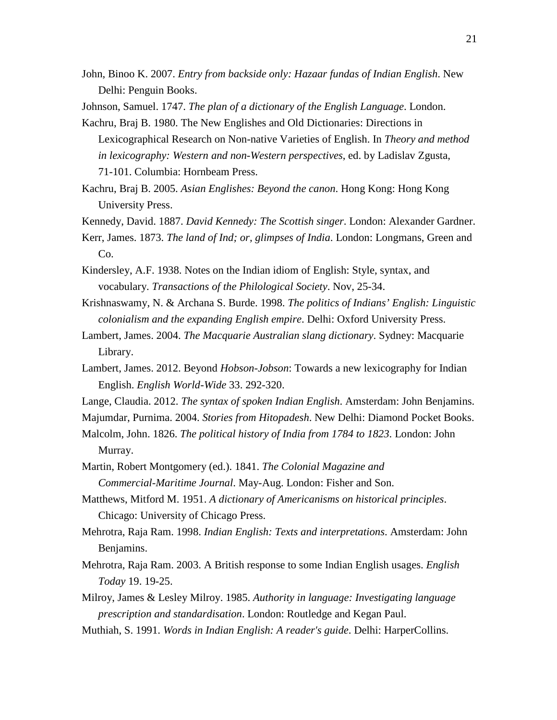John, Binoo K. 2007. *Entry from backside only: Hazaar fundas of Indian English*. New Delhi: Penguin Books.

Johnson, Samuel. 1747. *The plan of a dictionary of the English Language*. London.

- Kachru, Braj B. 1980. The New Englishes and Old Dictionaries: Directions in Lexicographical Research on Non-native Varieties of English. In *Theory and method in lexicography: Western and non-Western perspectives*, ed. by Ladislav Zgusta, 71-101. Columbia: Hornbeam Press.
- Kachru, Braj B. 2005. *Asian Englishes: Beyond the canon*. Hong Kong: Hong Kong University Press.
- Kennedy, David. 1887. *David Kennedy: The Scottish singer*. London: Alexander Gardner.
- Kerr, James. 1873. *The land of Ind; or, glimpses of India*. London: Longmans, Green and Co.
- Kindersley, A.F. 1938. Notes on the Indian idiom of English: Style, syntax, and vocabulary. *Transactions of the Philological Society*. Nov, 25-34.
- Krishnaswamy, N. & Archana S. Burde. 1998. *The politics of Indians' English: Linguistic colonialism and the expanding English empire*. Delhi: Oxford University Press.
- Lambert, James. 2004. *The Macquarie Australian slang dictionary*. Sydney: Macquarie Library.
- Lambert, James. 2012. Beyond *Hobson-Jobson*: Towards a new lexicography for Indian English. *English World-Wide* 33. 292-320.
- Lange, Claudia. 2012. *The syntax of spoken Indian English*. Amsterdam: John Benjamins.
- Majumdar, Purnima. 2004. *Stories from Hitopadesh*. New Delhi: Diamond Pocket Books.
- Malcolm, John. 1826. *The political history of India from 1784 to 1823*. London: John Murray.
- Martin, Robert Montgomery (ed.). 1841. *The Colonial Magazine and Commercial-Maritime Journal*. May-Aug. London: Fisher and Son.
- Matthews, Mitford M. 1951. *A dictionary of Americanisms on historical principles*. Chicago: University of Chicago Press.
- Mehrotra, Raja Ram. 1998. *Indian English: Texts and interpretations*. Amsterdam: John Benjamins.
- Mehrotra, Raja Ram. 2003. A British response to some Indian English usages. *English Today* 19. 19-25.
- Milroy, James & Lesley Milroy. 1985. *Authority in language: Investigating language prescription and standardisation*. London: Routledge and Kegan Paul.
- Muthiah, S. 1991. *Words in Indian English: A reader's guide*. Delhi: HarperCollins.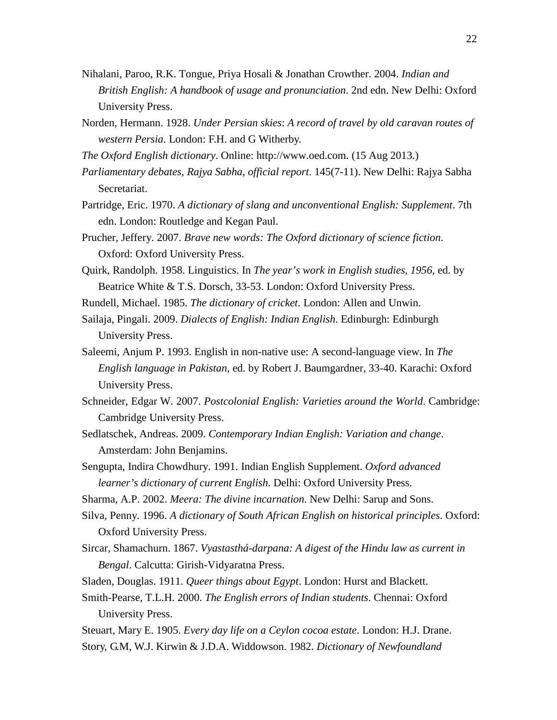- Nihalani, Paroo, R.K. Tongue, Priya Hosali & Jonathan Crowther. 2004. *Indian and British English: A handbook of usage and pronunciation*. 2nd edn. New Delhi: Oxford University Press.
- Norden, Hermann. 1928. *Under Persian skies*: *A record of travel by old caravan routes of western Persia*. London: F.H. and G Witherby.
- *The Oxford English dictionary*. Online: http://www.oed.com. (15 Aug 2013.)
- *Parliamentary debates*, *Rajya Sabha*, *official report*. 145(7-11). New Delhi: Rajya Sabha Secretariat.
- Partridge, Eric. 1970. *A dictionary of slang and unconventional English: Supplement*. 7th edn. London: Routledge and Kegan Paul.
- Prucher, Jeffery. 2007. *Brave new words: The Oxford dictionary of science fiction*. Oxford: Oxford University Press.
- Quirk, Randolph. 1958. Linguistics. In *The year's work in English studies, 1956*, ed. by Beatrice White & T.S. Dorsch, 33-53. London: Oxford University Press.
- Rundell, Michael. 1985. *The dictionary of cricket*. London: Allen and Unwin.
- Sailaja, Pingali. 2009. *Dialects of English: Indian English*. Edinburgh: Edinburgh University Press.
- Saleemi, Anjum P. 1993. English in non-native use: A second-language view. In *The English language in Pakistan*, ed. by Robert J. Baumgardner, 33-40. Karachi: Oxford University Press.
- Schneider, Edgar W. 2007. *Postcolonial English: Varieties around the World*. Cambridge: Cambridge University Press.
- Sedlatschek, Andreas. 2009. *Contemporary Indian English: Variation and change*. Amsterdam: John Benjamins.
- Sengupta, Indira Chowdhury. 1991. Indian English Supplement. *Oxford advanced learner's dictionary of current English*. Delhi: Oxford University Press.
- Sharma, A.P. 2002. *Meera: The divine incarnation*. New Delhi: Sarup and Sons.
- Silva, Penny. 1996. *A dictionary of South African English on historical principles*. Oxford: Oxford University Press.
- Sircar, Shamachurn. 1867. *Vyastasthá-darpana: A digest of the Hindu law as current in Bengal*. Calcutta: Girish-Vidyaratna Press.
- Sladen, Douglas. 1911. *Queer things about Egypt*. London: Hurst and Blackett.
- Smith-Pearse, T.L.H. 2000. *The English errors of Indian students*. Chennai: Oxford University Press.
- Steuart, Mary E. 1905. *Every day life on a Ceylon cocoa estate*. London: H.J. Drane.
- Story, G.M, W.J. Kirwin & J.D.A. Widdowson. 1982. *Dictionary of Newfoundland*